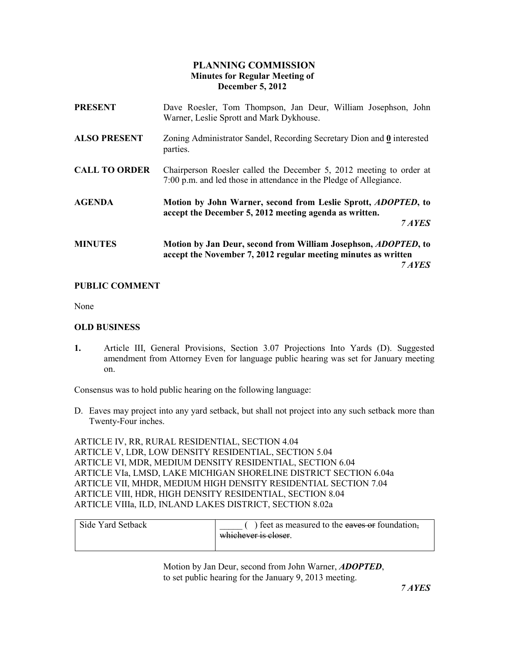# PLANNING COMMISSION Minutes for Regular Meeting of December 5, 2012

| <b>PRESENT</b>       | Dave Roesler, Tom Thompson, Jan Deur, William Josephson, John<br>Warner, Leslie Sprott and Mark Dykhouse.                                          |
|----------------------|----------------------------------------------------------------------------------------------------------------------------------------------------|
| <b>ALSO PRESENT</b>  | Zoning Administrator Sandel, Recording Secretary Dion and 0 interested<br>parties.                                                                 |
| <b>CALL TO ORDER</b> | Chairperson Roesler called the December 5, 2012 meeting to order at<br>7:00 p.m. and led those in attendance in the Pledge of Allegiance.          |
| <b>AGENDA</b>        | Motion by John Warner, second from Leslie Sprott, <i>ADOPTED</i> , to<br>accept the December 5, 2012 meeting agenda as written.<br>7 AYES          |
| <b>MINUTES</b>       | Motion by Jan Deur, second from William Josephson, <i>ADOPTED</i> , to<br>accept the November 7, 2012 regular meeting minutes as written<br>7 AYES |

## PUBLIC COMMENT

None

### OLD BUSINESS

1. Article III, General Provisions, Section 3.07 Projections Into Yards (D). Suggested amendment from Attorney Even for language public hearing was set for January meeting on.

Consensus was to hold public hearing on the following language:

D. Eaves may project into any yard setback, but shall not project into any such setback more than Twenty-Four inches.

ARTICLE IV, RR, RURAL RESIDENTIAL, SECTION 4.04 ARTICLE V, LDR, LOW DENSITY RESIDENTIAL, SECTION 5.04 ARTICLE VI, MDR, MEDIUM DENSITY RESIDENTIAL, SECTION 6.04 ARTICLE VIa, LMSD, LAKE MICHIGAN SHORELINE DISTRICT SECTION 6.04a ARTICLE VII, MHDR, MEDIUM HIGH DENSITY RESIDENTIAL SECTION 7.04 ARTICLE VIII, HDR, HIGH DENSITY RESIDENTIAL, SECTION 8.04 ARTICLE VIIIa, ILD, INLAND LAKES DISTRICT, SECTION 8.02a

| Side Yard Setback | ) feet as measured to the eaves or foundation. |
|-------------------|------------------------------------------------|
|                   | whichever is closer.                           |
|                   |                                                |

Motion by Jan Deur, second from John Warner, ADOPTED, to set public hearing for the January 9, 2013 meeting.